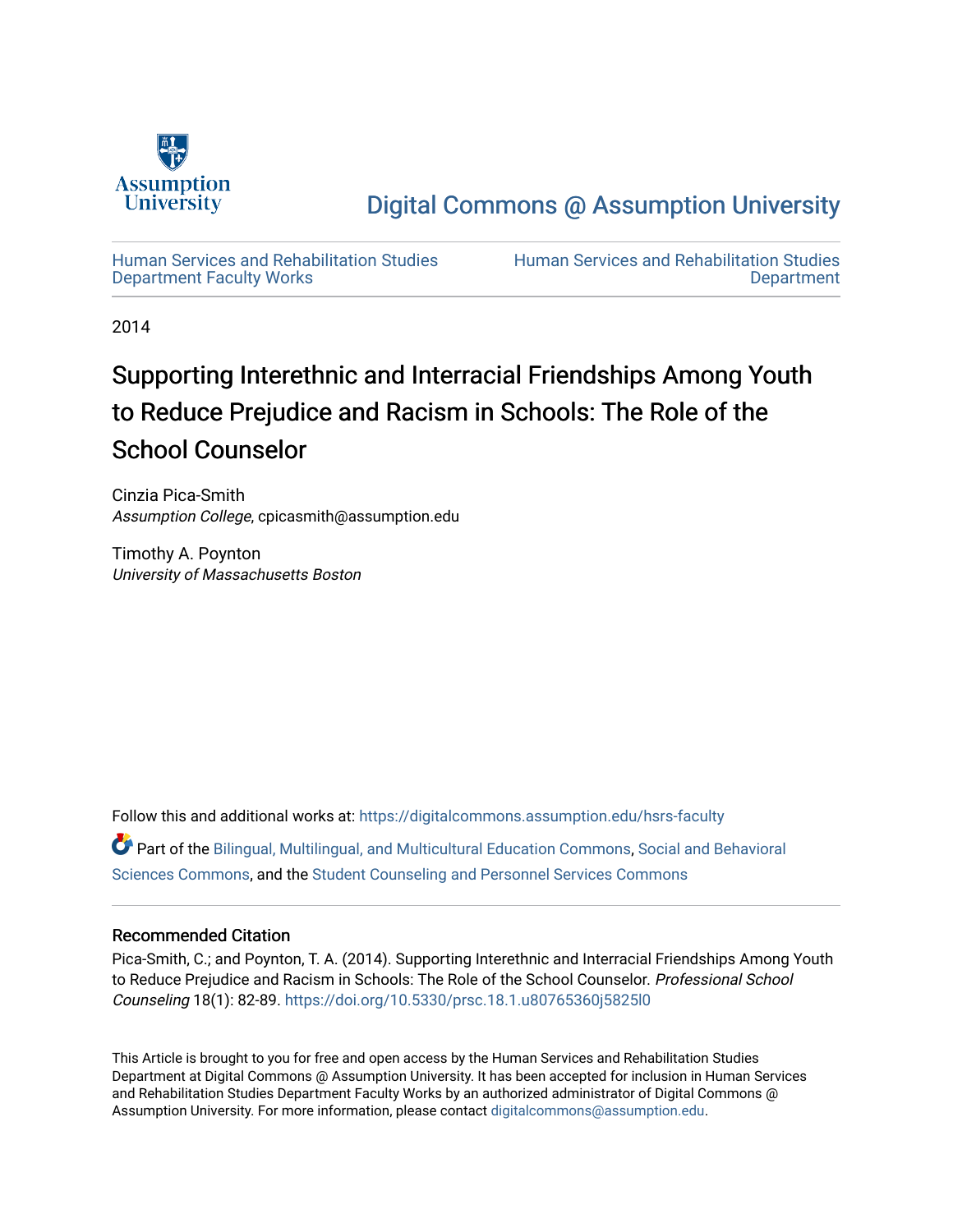

#### [Digital Commons @ Assumption University](https://digitalcommons.assumption.edu/)

[Human Services and Rehabilitation Studies](https://digitalcommons.assumption.edu/hsrs-faculty)  [Department Faculty Works](https://digitalcommons.assumption.edu/hsrs-faculty)

[Human Services and Rehabilitation Studies](https://digitalcommons.assumption.edu/hsrs)  **Department** 

2014

#### Supporting Interethnic and Interracial Friendships Among Youth to Reduce Prejudice and Racism in Schools: The Role of the School Counselor

Cinzia Pica-Smith Assumption College, cpicasmith@assumption.edu

Timothy A. Poynton University of Massachusetts Boston

Follow this and additional works at: [https://digitalcommons.assumption.edu/hsrs-faculty](https://digitalcommons.assumption.edu/hsrs-faculty?utm_source=digitalcommons.assumption.edu%2Fhsrs-faculty%2F3&utm_medium=PDF&utm_campaign=PDFCoverPages)  Part of the [Bilingual, Multilingual, and Multicultural Education Commons,](http://network.bepress.com/hgg/discipline/785?utm_source=digitalcommons.assumption.edu%2Fhsrs-faculty%2F3&utm_medium=PDF&utm_campaign=PDFCoverPages) [Social and Behavioral](http://network.bepress.com/hgg/discipline/316?utm_source=digitalcommons.assumption.edu%2Fhsrs-faculty%2F3&utm_medium=PDF&utm_campaign=PDFCoverPages) [Sciences Commons,](http://network.bepress.com/hgg/discipline/316?utm_source=digitalcommons.assumption.edu%2Fhsrs-faculty%2F3&utm_medium=PDF&utm_campaign=PDFCoverPages) and the [Student Counseling and Personnel Services Commons](http://network.bepress.com/hgg/discipline/802?utm_source=digitalcommons.assumption.edu%2Fhsrs-faculty%2F3&utm_medium=PDF&utm_campaign=PDFCoverPages)

#### Recommended Citation

Pica-Smith, C.; and Poynton, T. A. (2014). Supporting Interethnic and Interracial Friendships Among Youth to Reduce Prejudice and Racism in Schools: The Role of the School Counselor. Professional School Counseling 18(1): 82-89.<https://doi.org/10.5330/prsc.18.1.u80765360j5825l0>

This Article is brought to you for free and open access by the Human Services and Rehabilitation Studies Department at Digital Commons @ Assumption University. It has been accepted for inclusion in Human Services and Rehabilitation Studies Department Faculty Works by an authorized administrator of Digital Commons @ Assumption University. For more information, please contact [digitalcommons@assumption.edu.](mailto:digitalcommons@assumption.edu)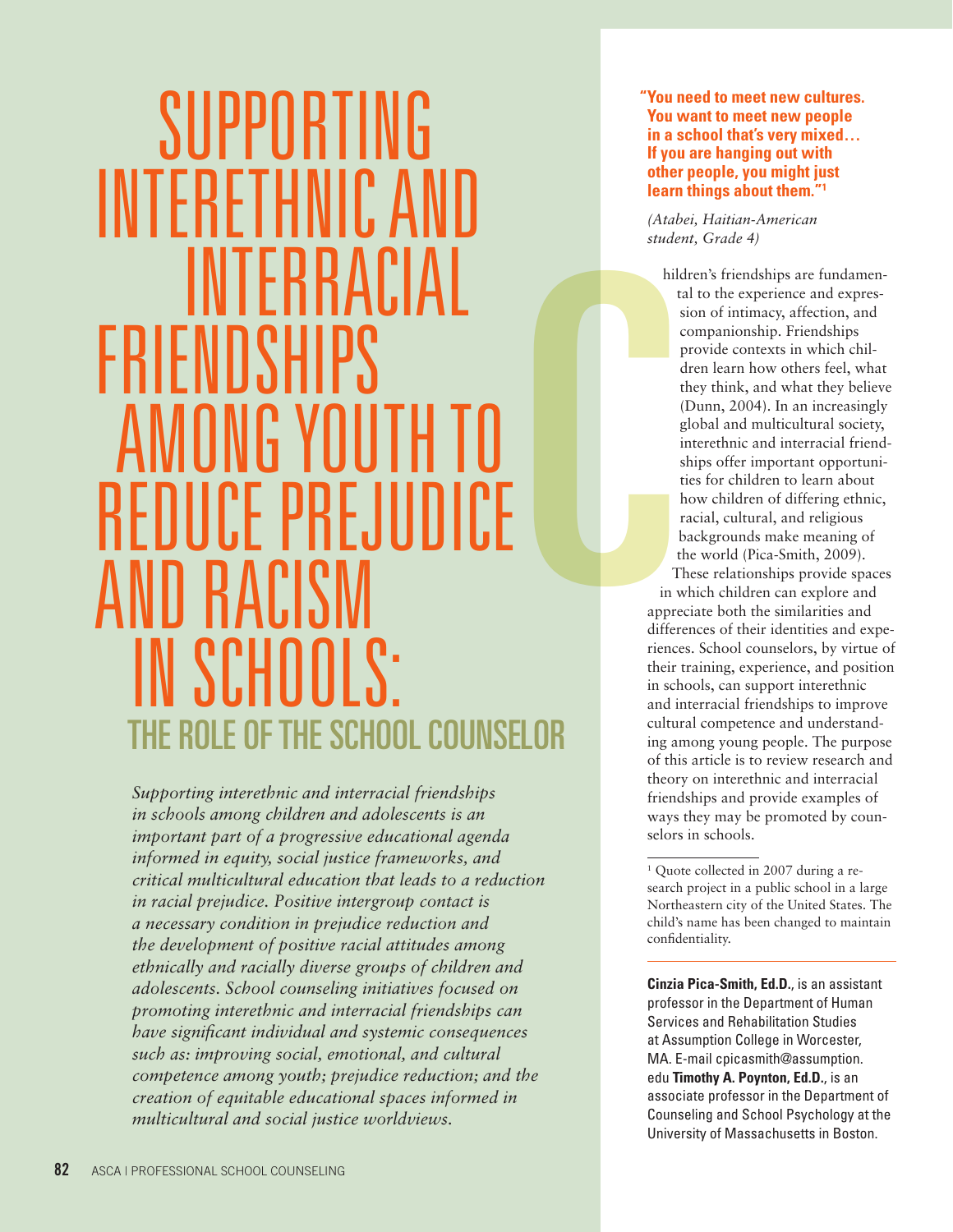# SUPPORTING INTERETHNIC INTERRACIAL FRIENDSHIPS AMONG YOUTH TO REDUCE PREJUDICE AND RACISM **IN SCHOOLS:** THE ROLE OF THE SCHOOL COUNSELOR stud<br>hi<br>hi<br>in<br>appr<br>diffe<br>riend

*Supporting interethnic and interracial friendships in schools among children and adolescents is an important part of a progressive educational agenda informed in equity, social justice frameworks, and critical multicultural education that leads to a reduction in racial prejudice. Positive intergroup contact is a necessary condition in prejudice reduction and the development of positive racial attitudes among ethnically and racially diverse groups of children and adolescents. School counseling initiatives focused on promoting interethnic and interracial friendships can have significant individual and systemic consequences such as: improving social, emotional, and cultural competence among youth; prejudice reduction; and the creation of equitable educational spaces informed in multicultural and social justice worldviews.* 

**You need to meet new cultures. " You want to meet new people in a school that's very mixed… If you are hanging out with other people, you might just learn things about them."1**

*(Atabei, Haitian-American student, Grade 4)*

hildren's friendships are fundamental to the experience and expression of intimacy, affection, and companionship. Friendships provide contexts in which children learn how others feel, what they think, and what they believe (Dunn, 2004). In an increasingly global and multicultural society, interethnic and interracial friendships offer important opportunities for children to learn about how children of differing ethnic, racial, cultural, and religious backgrounds make meaning of the world (Pica-Smith, 2009). These relationships provide spaces

in which children can explore and appreciate both the similarities and differences of their identities and experiences. School counselors, by virtue of their training, experience, and position in schools, can support interethnic and interracial friendships to improve cultural competence and understanding among young people. The purpose of this article is to review research and theory on interethnic and interracial friendships and provide examples of ways they may be promoted by counselors in schools.

**Cinzia Pica-Smith, Ed.D.**, is an assistant professor in the Department of Human Services and Rehabilitation Studies at Assumption College in Worcester, MA. E-mail cpicasmith@assumption. edu **Timothy A. Poynton, Ed.D.**, is an associate professor in the Department of Counseling and School Psychology at the University of Massachusetts in Boston.

<sup>1</sup> Quote collected in 2007 during a research project in a public school in a large Northeastern city of the United States. The child's name has been changed to maintain confidentiality.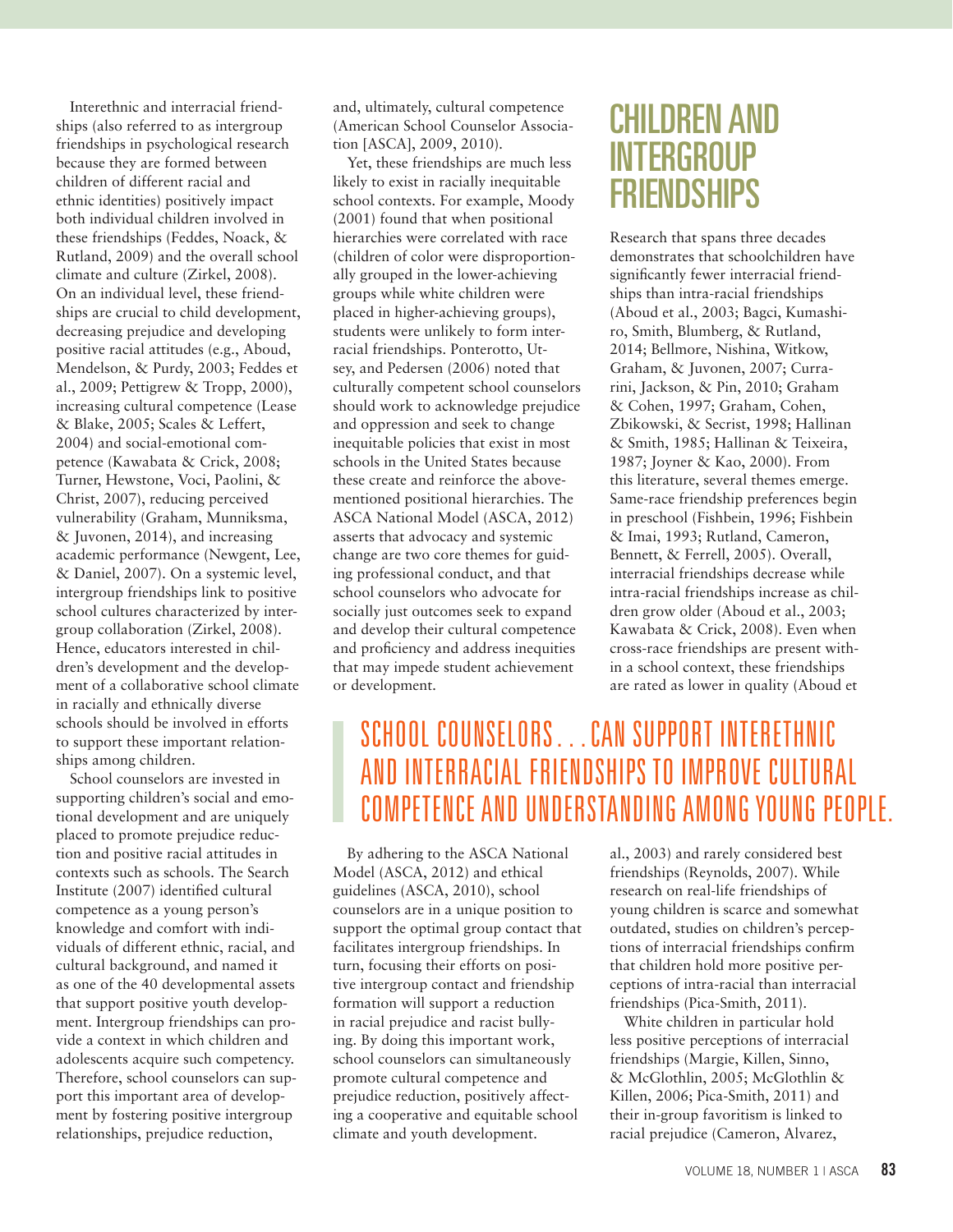Interethnic and interracial friendships (also referred to as intergroup friendships in psychological research because they are formed between children of different racial and ethnic identities) positively impact both individual children involved in these friendships (Feddes, Noack, & Rutland, 2009) and the overall school climate and culture (Zirkel, 2008). On an individual level, these friendships are crucial to child development, decreasing prejudice and developing positive racial attitudes (e.g., Aboud, Mendelson, & Purdy, 2003; Feddes et al., 2009; Pettigrew & Tropp, 2000), increasing cultural competence (Lease & Blake, 2005; Scales & Leffert, 2004) and social-emotional competence (Kawabata & Crick, 2008; Turner, Hewstone, Voci, Paolini, & Christ, 2007), reducing perceived vulnerability (Graham, Munniksma, & Juvonen, 2014), and increasing academic performance (Newgent, Lee, & Daniel, 2007). On a systemic level, intergroup friendships link to positive school cultures characterized by intergroup collaboration (Zirkel, 2008). Hence, educators interested in children's development and the development of a collaborative school climate in racially and ethnically diverse schools should be involved in efforts to support these important relationships among children.

School counselors are invested in supporting children's social and emotional development and are uniquely placed to promote prejudice reduction and positive racial attitudes in contexts such as schools. The Search Institute (2007) identified cultural competence as a young person's knowledge and comfort with individuals of different ethnic, racial, and cultural background, and named it as one of the 40 developmental assets that support positive youth development. Intergroup friendships can provide a context in which children and adolescents acquire such competency. Therefore, school counselors can support this important area of development by fostering positive intergroup relationships, prejudice reduction,

and, ultimately, cultural competence (American School Counselor Association [ASCA], 2009, 2010).

Yet, these friendships are much less likely to exist in racially inequitable school contexts. For example, Moody (2001) found that when positional hierarchies were correlated with race (children of color were disproportionally grouped in the lower-achieving groups while white children were placed in higher-achieving groups), students were unlikely to form interracial friendships. Ponterotto, Utsey, and Pedersen (2006) noted that culturally competent school counselors should work to acknowledge prejudice and oppression and seek to change inequitable policies that exist in most schools in the United States because these create and reinforce the abovementioned positional hierarchies. The ASCA National Model (ASCA, 2012) asserts that advocacy and systemic change are two core themes for guiding professional conduct, and that school counselors who advocate for socially just outcomes seek to expand and develop their cultural competence and proficiency and address inequities that may impede student achievement or development.

### CHILDREN AND **INTERGROUP FRIENDSHIPS**

Research that spans three decades demonstrates that schoolchildren have significantly fewer interracial friendships than intra-racial friendships (Aboud et al., 2003; Bagci, Kumashiro, Smith, Blumberg, & Rutland, 2014; Bellmore, Nishina, Witkow, Graham, & Juvonen, 2007; Currarini, Jackson, & Pin, 2010; Graham & Cohen, 1997; Graham, Cohen, Zbikowski, & Secrist, 1998; Hallinan & Smith, 1985; Hallinan & Teixeira, 1987; Joyner & Kao, 2000). From this literature, several themes emerge. Same-race friendship preferences begin in preschool (Fishbein, 1996; Fishbein & Imai, 1993; Rutland, Cameron, Bennett, & Ferrell, 2005). Overall, interracial friendships decrease while intra-racial friendships increase as children grow older (Aboud et al., 2003; Kawabata & Crick, 2008). Even when cross-race friendships are present within a school context, these friendships are rated as lower in quality (Aboud et

### SCHOOL COUNSELORS... CAN SUPPORT INTERETHNIC AND INTERRACIAL FRIENDSHIPS TO IMPROVE CULTURAL COMPETENCE AND UNDERSTANDING AMONG YOUNG PEOPLE.

By adhering to the ASCA National Model (ASCA, 2012) and ethical guidelines (ASCA, 2010), school counselors are in a unique position to support the optimal group contact that facilitates intergroup friendships. In turn, focusing their efforts on positive intergroup contact and friendship formation will support a reduction in racial prejudice and racist bullying. By doing this important work, school counselors can simultaneously promote cultural competence and prejudice reduction, positively affecting a cooperative and equitable school climate and youth development.

al., 2003) and rarely considered best friendships (Reynolds, 2007). While research on real-life friendships of young children is scarce and somewhat outdated, studies on children's perceptions of interracial friendships confirm that children hold more positive perceptions of intra-racial than interracial friendships (Pica-Smith, 2011).

White children in particular hold less positive perceptions of interracial friendships (Margie, Killen, Sinno, & McGlothlin, 2005; McGlothlin & Killen, 2006; Pica-Smith, 2011) and their in-group favoritism is linked to racial prejudice (Cameron, Alvarez,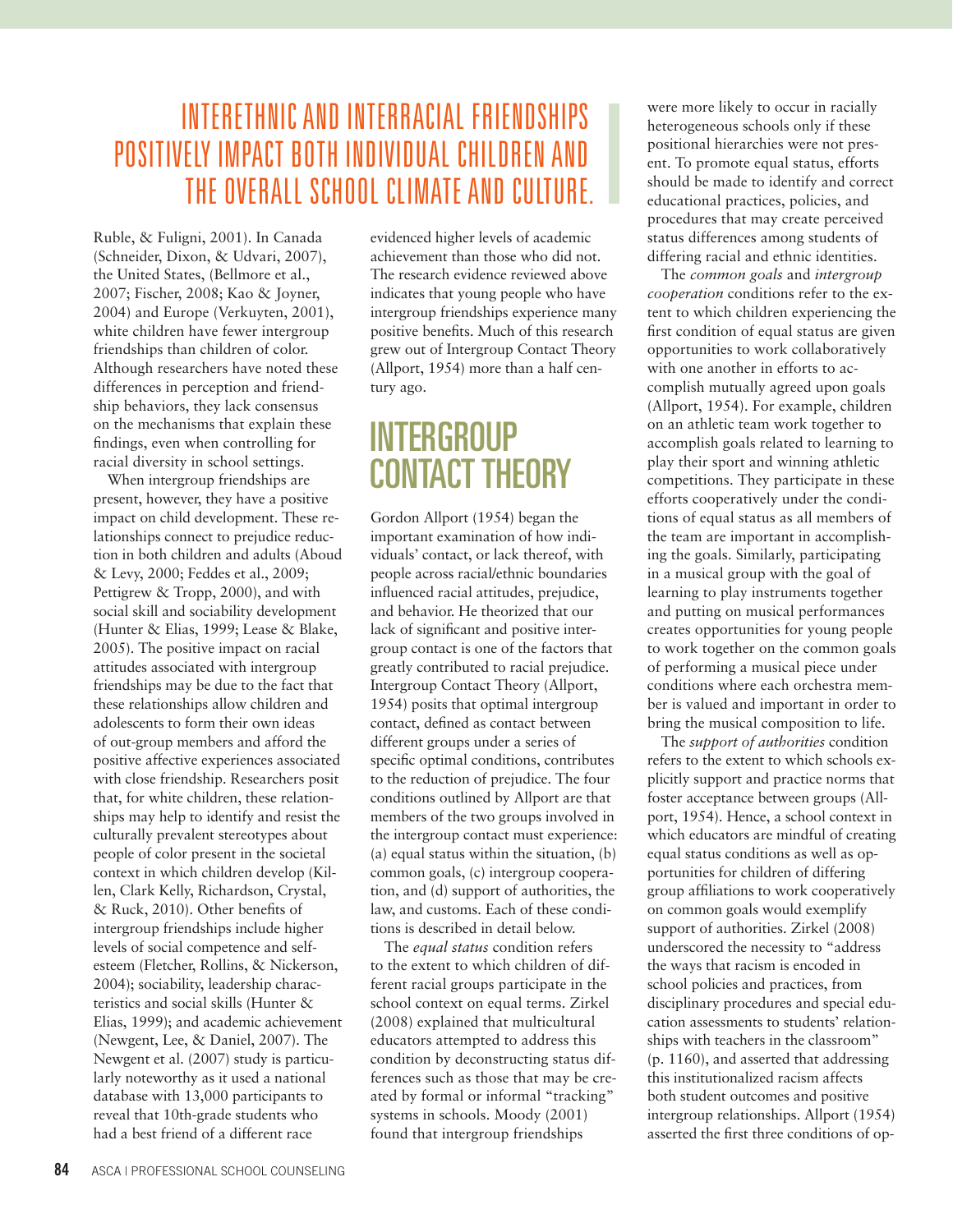#### INTERETHNIC AND INTERRACIAL FRIENDSHIPS POSITIVELY IMPACT BOTH INDIVIDUAL CHILDREN AND THE OVERALL SCHOOL CLIMATE AND CULTURE.

Ruble, & Fuligni, 2001). In Canada (Schneider, Dixon, & Udvari, 2007), the United States, (Bellmore et al., 2007; Fischer, 2008; Kao & Joyner, 2004) and Europe (Verkuyten, 2001), white children have fewer intergroup friendships than children of color. Although researchers have noted these differences in perception and friendship behaviors, they lack consensus on the mechanisms that explain these findings, even when controlling for racial diversity in school settings.

When intergroup friendships are present, however, they have a positive impact on child development. These relationships connect to prejudice reduction in both children and adults (Aboud & Levy, 2000; Feddes et al., 2009; Pettigrew & Tropp, 2000), and with social skill and sociability development (Hunter & Elias, 1999; Lease & Blake, 2005). The positive impact on racial attitudes associated with intergroup friendships may be due to the fact that these relationships allow children and adolescents to form their own ideas of out-group members and afford the positive affective experiences associated with close friendship. Researchers posit that, for white children, these relationships may help to identify and resist the culturally prevalent stereotypes about people of color present in the societal context in which children develop (Killen, Clark Kelly, Richardson, Crystal, & Ruck, 2010). Other benefits of intergroup friendships include higher levels of social competence and selfesteem (Fletcher, Rollins, & Nickerson, 2004); sociability, leadership characteristics and social skills (Hunter & Elias, 1999); and academic achievement (Newgent, Lee, & Daniel, 2007). The Newgent et al. (2007) study is particularly noteworthy as it used a national database with 13,000 participants to reveal that 10th-grade students who had a best friend of a different race

evidenced higher levels of academic achievement than those who did not. The research evidence reviewed above indicates that young people who have intergroup friendships experience many positive benefits. Much of this research grew out of Intergroup Contact Theory (Allport, 1954) more than a half century ago.

### INTERGROUP CONTACT THEORY

Gordon Allport (1954) began the important examination of how individuals' contact, or lack thereof, with people across racial/ethnic boundaries influenced racial attitudes, prejudice, and behavior. He theorized that our lack of significant and positive intergroup contact is one of the factors that greatly contributed to racial prejudice. Intergroup Contact Theory (Allport, 1954) posits that optimal intergroup contact, defined as contact between different groups under a series of specific optimal conditions, contributes to the reduction of prejudice. The four conditions outlined by Allport are that members of the two groups involved in the intergroup contact must experience: (a) equal status within the situation, (b) common goals, (c) intergroup cooperation, and (d) support of authorities, the law, and customs. Each of these conditions is described in detail below.

The *equal status* condition refers to the extent to which children of different racial groups participate in the school context on equal terms. Zirkel (2008) explained that multicultural educators attempted to address this condition by deconstructing status differences such as those that may be created by formal or informal "tracking" systems in schools. Moody (2001) found that intergroup friendships

were more likely to occur in racially heterogeneous schools only if these positional hierarchies were not present. To promote equal status, efforts should be made to identify and correct educational practices, policies, and procedures that may create perceived status differences among students of differing racial and ethnic identities.

The *common goals* and *intergroup cooperation* conditions refer to the extent to which children experiencing the first condition of equal status are given opportunities to work collaboratively with one another in efforts to accomplish mutually agreed upon goals (Allport, 1954). For example, children on an athletic team work together to accomplish goals related to learning to play their sport and winning athletic competitions. They participate in these efforts cooperatively under the conditions of equal status as all members of the team are important in accomplishing the goals. Similarly, participating in a musical group with the goal of learning to play instruments together and putting on musical performances creates opportunities for young people to work together on the common goals of performing a musical piece under conditions where each orchestra member is valued and important in order to bring the musical composition to life.

The *support of authorities* condition refers to the extent to which schools explicitly support and practice norms that foster acceptance between groups (Allport, 1954). Hence, a school context in which educators are mindful of creating equal status conditions as well as opportunities for children of differing group affiliations to work cooperatively on common goals would exemplify support of authorities. Zirkel (2008) underscored the necessity to "address the ways that racism is encoded in school policies and practices, from disciplinary procedures and special education assessments to students' relationships with teachers in the classroom" (p. 1160), and asserted that addressing this institutionalized racism affects both student outcomes and positive intergroup relationships. Allport (1954) asserted the first three conditions of op-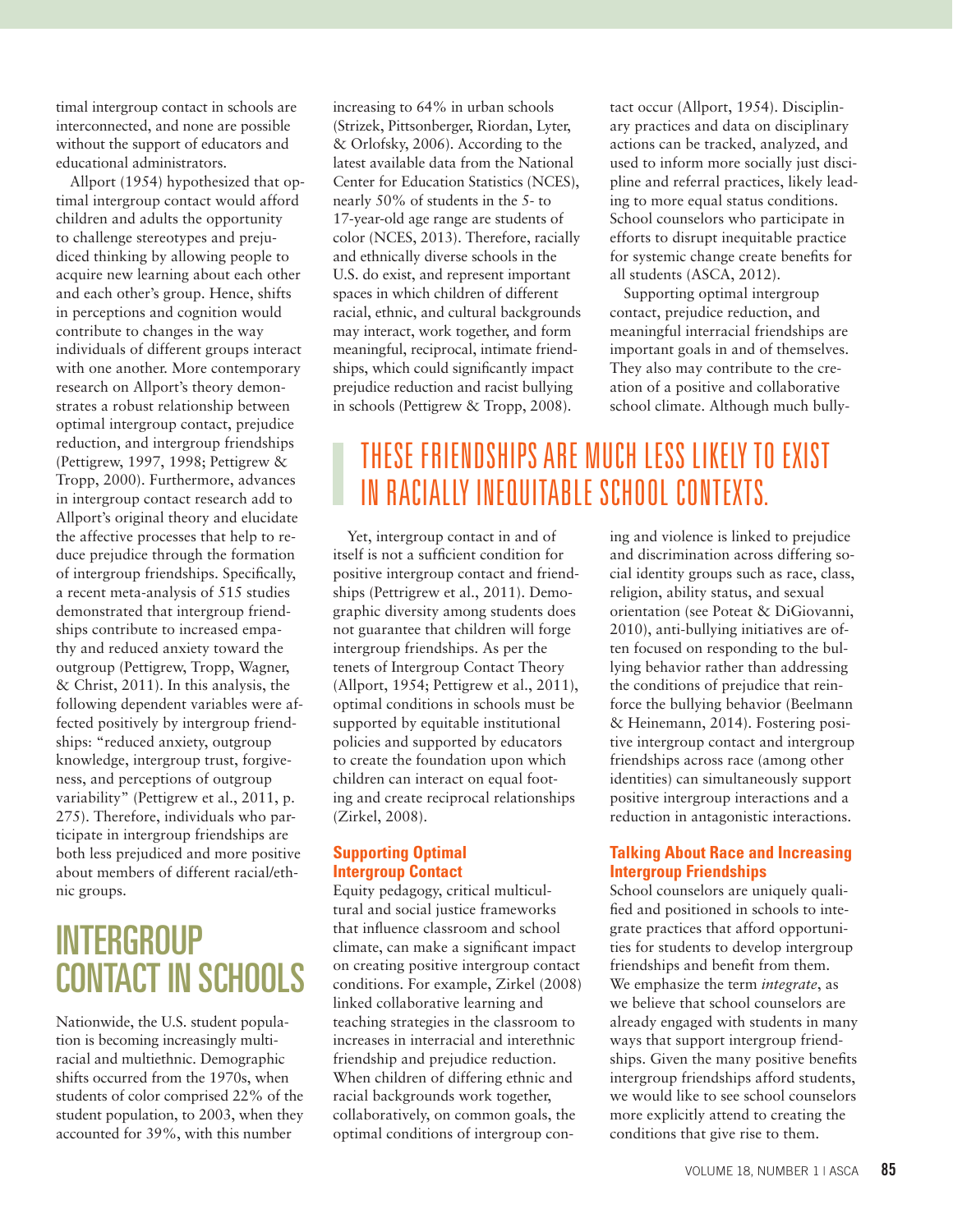timal intergroup contact in schools are interconnected, and none are possible without the support of educators and educational administrators.

Allport (1954) hypothesized that optimal intergroup contact would afford children and adults the opportunity to challenge stereotypes and prejudiced thinking by allowing people to acquire new learning about each other and each other's group. Hence, shifts in perceptions and cognition would contribute to changes in the way individuals of different groups interact with one another. More contemporary research on Allport's theory demonstrates a robust relationship between optimal intergroup contact, prejudice reduction, and intergroup friendships (Pettigrew, 1997, 1998; Pettigrew & Tropp, 2000). Furthermore, advances in intergroup contact research add to Allport's original theory and elucidate the affective processes that help to reduce prejudice through the formation of intergroup friendships. Specifically, a recent meta-analysis of 515 studies demonstrated that intergroup friendships contribute to increased empathy and reduced anxiety toward the outgroup (Pettigrew, Tropp, Wagner, & Christ, 2011). In this analysis, the following dependent variables were affected positively by intergroup friendships: "reduced anxiety, outgroup knowledge, intergroup trust, forgiveness, and perceptions of outgroup variability" (Pettigrew et al., 2011, p. 275). Therefore, individuals who participate in intergroup friendships are both less prejudiced and more positive about members of different racial/ethnic groups.

### INTERGROUP CONTACT IN SCHOOLS

Nationwide, the U.S. student population is becoming increasingly multiracial and multiethnic. Demographic shifts occurred from the 1970s, when students of color comprised 22% of the student population, to 2003, when they accounted for 39%, with this number

increasing to 64% in urban schools (Strizek, Pittsonberger, Riordan, Lyter, & Orlofsky, 2006). According to the latest available data from the National Center for Education Statistics (NCES), nearly 50% of students in the 5- to 17-year-old age range are students of color (NCES, 2013). Therefore, racially and ethnically diverse schools in the U.S. do exist, and represent important spaces in which children of different racial, ethnic, and cultural backgrounds may interact, work together, and form meaningful, reciprocal, intimate friendships, which could significantly impact prejudice reduction and racist bullying in schools (Pettigrew & Tropp, 2008).

tact occur (Allport, 1954). Disciplinary practices and data on disciplinary actions can be tracked, analyzed, and used to inform more socially just discipline and referral practices, likely leading to more equal status conditions. School counselors who participate in efforts to disrupt inequitable practice for systemic change create benefits for all students (ASCA, 2012).

Supporting optimal intergroup contact, prejudice reduction, and meaningful interracial friendships are important goals in and of themselves. They also may contribute to the creation of a positive and collaborative school climate. Although much bully-

#### THESE FRIENDSHIPS ARE MUCH LESS LIKELY TO EXIST IN RACIALLY INEQUITABLE SCHOOL CONTEXTS.

Yet, intergroup contact in and of itself is not a sufficient condition for positive intergroup contact and friendships (Pettrigrew et al., 2011). Demographic diversity among students does not guarantee that children will forge intergroup friendships. As per the tenets of Intergroup Contact Theory (Allport, 1954; Pettigrew et al., 2011), optimal conditions in schools must be supported by equitable institutional policies and supported by educators to create the foundation upon which children can interact on equal footing and create reciprocal relationships (Zirkel, 2008).

#### **Supporting Optimal Intergroup Contact**

Equity pedagogy, critical multicultural and social justice frameworks that influence classroom and school climate, can make a significant impact on creating positive intergroup contact conditions. For example, Zirkel (2008) linked collaborative learning and teaching strategies in the classroom to increases in interracial and interethnic friendship and prejudice reduction. When children of differing ethnic and racial backgrounds work together, collaboratively, on common goals, the optimal conditions of intergroup coning and violence is linked to prejudice and discrimination across differing social identity groups such as race, class, religion, ability status, and sexual orientation (see Poteat & DiGiovanni, 2010), anti-bullying initiatives are often focused on responding to the bullying behavior rather than addressing the conditions of prejudice that reinforce the bullying behavior (Beelmann & Heinemann, 2014). Fostering positive intergroup contact and intergroup friendships across race (among other identities) can simultaneously support positive intergroup interactions and a reduction in antagonistic interactions.

#### **Talking About Race and Increasing Intergroup Friendships**

School counselors are uniquely qualified and positioned in schools to integrate practices that afford opportunities for students to develop intergroup friendships and benefit from them. We emphasize the term *integrate*, as we believe that school counselors are already engaged with students in many ways that support intergroup friendships. Given the many positive benefits intergroup friendships afford students, we would like to see school counselors more explicitly attend to creating the conditions that give rise to them.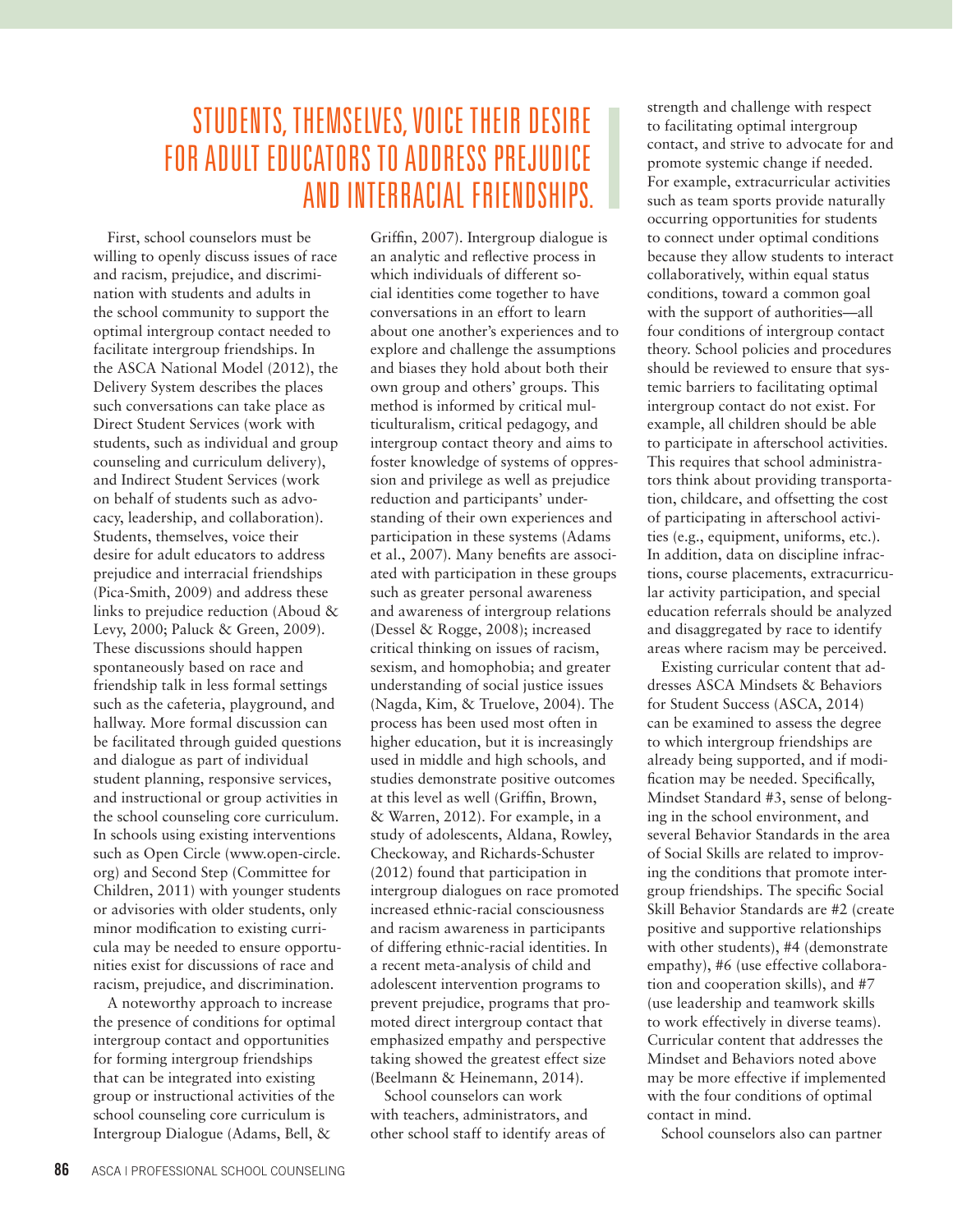#### STUDENTS, THEMSELVES, VOICE THEIR DESIRE FOR ADULT EDUCATORS TO ADDRESS PREJUDICE AND INTERRACIAL FRIENDSHIPS.

First, school counselors must be willing to openly discuss issues of race and racism, prejudice, and discrimination with students and adults in the school community to support the optimal intergroup contact needed to facilitate intergroup friendships. In the ASCA National Model (2012), the Delivery System describes the places such conversations can take place as Direct Student Services (work with students, such as individual and group counseling and curriculum delivery), and Indirect Student Services (work on behalf of students such as advocacy, leadership, and collaboration). Students, themselves, voice their desire for adult educators to address prejudice and interracial friendships (Pica-Smith, 2009) and address these links to prejudice reduction (Aboud & Levy, 2000; Paluck & Green, 2009). These discussions should happen spontaneously based on race and friendship talk in less formal settings such as the cafeteria, playground, and hallway. More formal discussion can be facilitated through guided questions and dialogue as part of individual student planning, responsive services, and instructional or group activities in the school counseling core curriculum. In schools using existing interventions such as Open Circle (www.open-circle. org) and Second Step (Committee for Children, 2011) with younger students or advisories with older students, only minor modification to existing curricula may be needed to ensure opportunities exist for discussions of race and racism, prejudice, and discrimination.

A noteworthy approach to increase the presence of conditions for optimal intergroup contact and opportunities for forming intergroup friendships that can be integrated into existing group or instructional activities of the school counseling core curriculum is Intergroup Dialogue (Adams, Bell, &

Griffin, 2007). Intergroup dialogue is an analytic and reflective process in which individuals of different social identities come together to have conversations in an effort to learn about one another's experiences and to explore and challenge the assumptions and biases they hold about both their own group and others' groups. This method is informed by critical multiculturalism, critical pedagogy, and intergroup contact theory and aims to foster knowledge of systems of oppression and privilege as well as prejudice reduction and participants' understanding of their own experiences and participation in these systems (Adams et al., 2007). Many benefits are associated with participation in these groups such as greater personal awareness and awareness of intergroup relations (Dessel & Rogge, 2008); increased critical thinking on issues of racism, sexism, and homophobia; and greater understanding of social justice issues (Nagda, Kim, & Truelove, 2004). The process has been used most often in higher education, but it is increasingly used in middle and high schools, and studies demonstrate positive outcomes at this level as well (Griffin, Brown, & Warren, 2012). For example, in a study of adolescents, Aldana, Rowley, Checkoway, and Richards-Schuster (2012) found that participation in intergroup dialogues on race promoted increased ethnic-racial consciousness and racism awareness in participants of differing ethnic-racial identities. In a recent meta-analysis of child and adolescent intervention programs to prevent prejudice, programs that promoted direct intergroup contact that emphasized empathy and perspective taking showed the greatest effect size (Beelmann & Heinemann, 2014).

School counselors can work with teachers, administrators, and other school staff to identify areas of strength and challenge with respect to facilitating optimal intergroup contact, and strive to advocate for and promote systemic change if needed. For example, extracurricular activities such as team sports provide naturally occurring opportunities for students to connect under optimal conditions because they allow students to interact collaboratively, within equal status conditions, toward a common goal with the support of authorities—all four conditions of intergroup contact theory. School policies and procedures should be reviewed to ensure that systemic barriers to facilitating optimal intergroup contact do not exist. For example, all children should be able to participate in afterschool activities. This requires that school administrators think about providing transportation, childcare, and offsetting the cost of participating in afterschool activities (e.g., equipment, uniforms, etc.). In addition, data on discipline infractions, course placements, extracurricular activity participation, and special education referrals should be analyzed and disaggregated by race to identify areas where racism may be perceived.

Existing curricular content that addresses ASCA Mindsets & Behaviors for Student Success (ASCA, 2014) can be examined to assess the degree to which intergroup friendships are already being supported, and if modification may be needed. Specifically, Mindset Standard #3, sense of belonging in the school environment, and several Behavior Standards in the area of Social Skills are related to improving the conditions that promote intergroup friendships. The specific Social Skill Behavior Standards are #2 (create positive and supportive relationships with other students), #4 (demonstrate empathy), #6 (use effective collaboration and cooperation skills), and #7 (use leadership and teamwork skills to work effectively in diverse teams). Curricular content that addresses the Mindset and Behaviors noted above may be more effective if implemented with the four conditions of optimal contact in mind.

School counselors also can partner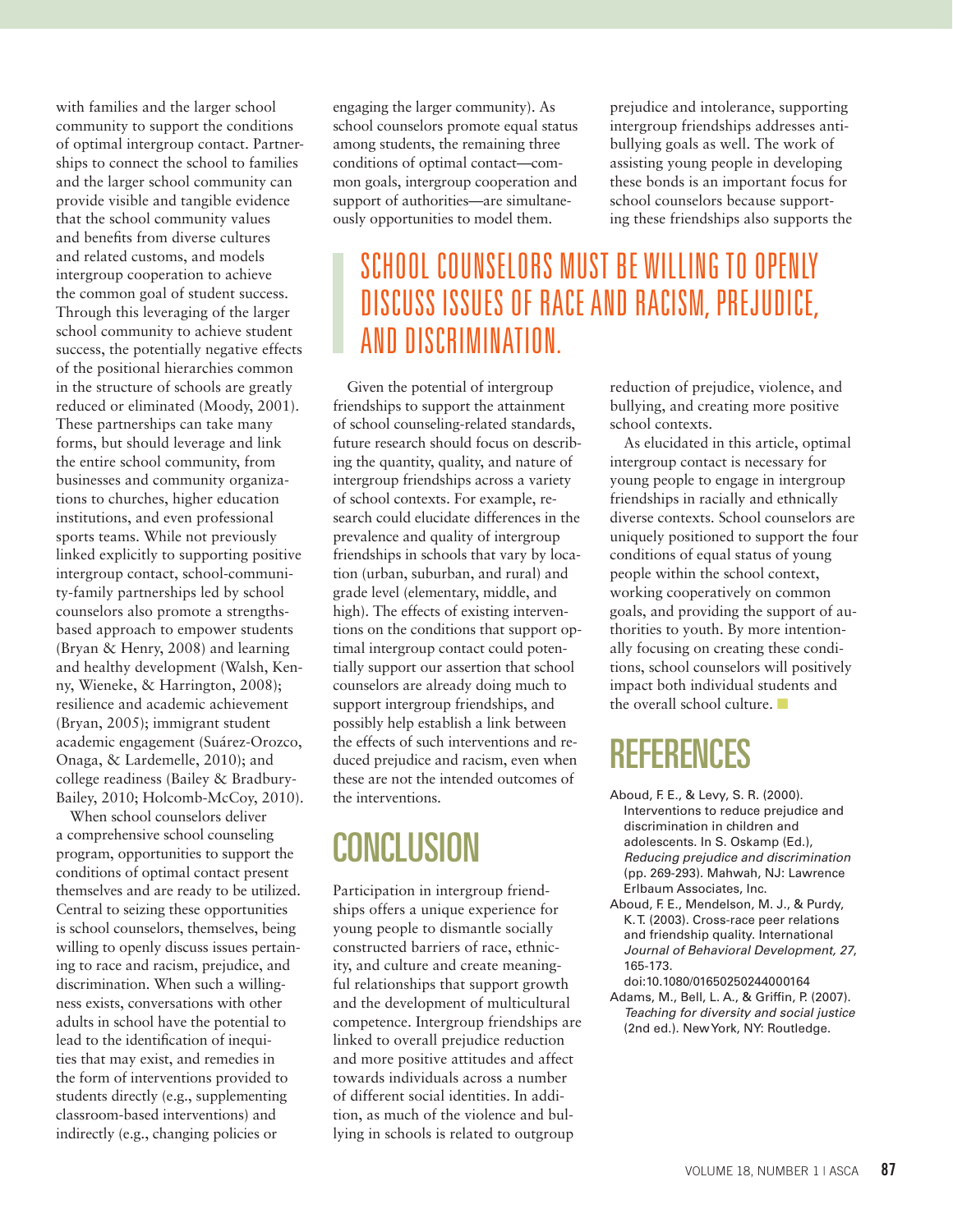with families and the larger school community to support the conditions of optimal intergroup contact. Partnerships to connect the school to families and the larger school community can provide visible and tangible evidence that the school community values and benefits from diverse cultures and related customs, and models intergroup cooperation to achieve the common goal of student success. Through this leveraging of the larger school community to achieve student success, the potentially negative effects of the positional hierarchies common in the structure of schools are greatly reduced or eliminated (Moody, 2001). These partnerships can take many forms, but should leverage and link the entire school community, from businesses and community organizations to churches, higher education institutions, and even professional sports teams. While not previously linked explicitly to supporting positive intergroup contact, school-community-family partnerships led by school counselors also promote a strengthsbased approach to empower students (Bryan & Henry, 2008) and learning and healthy development (Walsh, Kenny, Wieneke, & Harrington, 2008); resilience and academic achievement (Bryan, 2005); immigrant student academic engagement (Suárez-Orozco, Onaga, & Lardemelle, 2010); and college readiness (Bailey & Bradbury-Bailey, 2010; Holcomb-McCoy, 2010).

When school counselors deliver a comprehensive school counseling program, opportunities to support the conditions of optimal contact present themselves and are ready to be utilized. Central to seizing these opportunities is school counselors, themselves, being willing to openly discuss issues pertaining to race and racism, prejudice, and discrimination. When such a willingness exists, conversations with other adults in school have the potential to lead to the identification of inequities that may exist, and remedies in the form of interventions provided to students directly (e.g., supplementing classroom-based interventions) and indirectly (e.g., changing policies or

engaging the larger community). As school counselors promote equal status among students, the remaining three conditions of optimal contact—common goals, intergroup cooperation and support of authorities—are simultaneously opportunities to model them.

prejudice and intolerance, supporting intergroup friendships addresses antibullying goals as well. The work of assisting young people in developing these bonds is an important focus for school counselors because supporting these friendships also supports the

### SCHOOL COUNSELORS MUST BE WILLING TO OPENLY DISCUSS ISSUES OF RACE AND RACISM, PREJUDICE, AND DISCRIMINATION.

Given the potential of intergroup friendships to support the attainment of school counseling-related standards, future research should focus on describing the quantity, quality, and nature of intergroup friendships across a variety of school contexts. For example, research could elucidate differences in the prevalence and quality of intergroup friendships in schools that vary by location (urban, suburban, and rural) and grade level (elementary, middle, and high). The effects of existing interventions on the conditions that support optimal intergroup contact could potentially support our assertion that school counselors are already doing much to support intergroup friendships, and possibly help establish a link between the effects of such interventions and reduced prejudice and racism, even when these are not the intended outcomes of the interventions.

## **CONCLUSION**

Participation in intergroup friendships offers a unique experience for young people to dismantle socially constructed barriers of race, ethnicity, and culture and create meaningful relationships that support growth and the development of multicultural competence. Intergroup friendships are linked to overall prejudice reduction and more positive attitudes and affect towards individuals across a number of different social identities. In addition, as much of the violence and bullying in schools is related to outgroup

reduction of prejudice, violence, and bullying, and creating more positive school contexts.

As elucidated in this article, optimal intergroup contact is necessary for young people to engage in intergroup friendships in racially and ethnically diverse contexts. School counselors are uniquely positioned to support the four conditions of equal status of young people within the school context, working cooperatively on common goals, and providing the support of authorities to youth. By more intentionally focusing on creating these conditions, school counselors will positively impact both individual students and the overall school culture.  $\blacksquare$ 

# REFERENCES

- Aboud, F. E., & Levy, S. R. (2000). Interventions to reduce prejudice and discrimination in children and adolescents. In S. Oskamp (Ed.), *Reducing prejudice and discrimination*  (pp. 269-293). Mahwah, NJ: Lawrence Erlbaum Associates, Inc.
- Aboud, F. E., Mendelson, M. J., & Purdy, K. T. (2003). Cross-race peer relations and friendship quality. International *Journal of Behavioral Development, 27*, 165-173.
- doi:10.1080/01650250244000164
- Adams, M., Bell, L. A., & Griffin, P. (2007). *Teaching for diversity and social justice*  (2nd ed.). New York, NY: Routledge.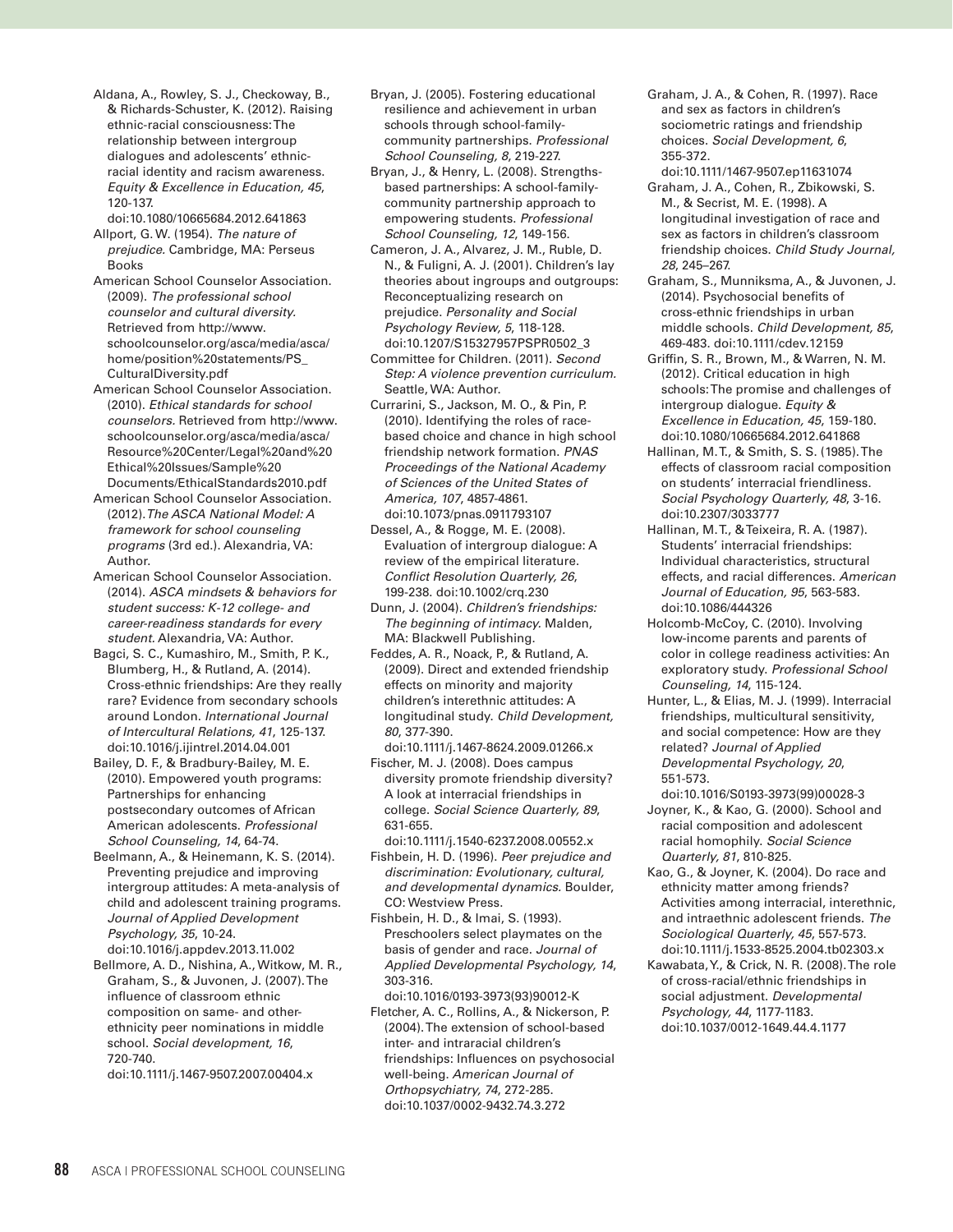Aldana, A., Rowley, S. J., Checkoway, B., & Richards-Schuster, K. (2012). Raising ethnic-racial consciousness: The relationship between intergroup dialogues and adolescents' ethnicracial identity and racism awareness. *Equity & Excellence in Education, 45*, 120-137.

doi:10.1080/10665684.2012.641863

- Allport, G. W. (1954). *The nature of prejudice.* Cambridge, MA: Perseus Books
- American School Counselor Association. (2009). *The professional school counselor and cultural diversity.*  Retrieved from http://www. schoolcounselor.org/asca/media/asca/ home/position%20statements/PS\_ CulturalDiversity.pdf
- American School Counselor Association. (2010). *Ethical standards for school counselors.* Retrieved from http://www. schoolcounselor.org/asca/media/asca/ Resource%20Center/Legal%20and%20 Ethical%20Issues/Sample%20 Documents/EthicalStandards2010.pdf
- American School Counselor Association. (2012).*The ASCA National Model: A framework for school counseling programs* (3rd ed.). Alexandria, VA: Author.
- American School Counselor Association. (2014). *ASCA mindsets & behaviors for student success: K-12 college- and career-readiness standards for every student.* Alexandria, VA: Author.
- Bagci, S. C., Kumashiro, M., Smith, P. K., Blumberg, H., & Rutland, A. (2014). Cross-ethnic friendships: Are they really rare? Evidence from secondary schools around London. *International Journal of Intercultural Relations, 41*, 125-137. doi:10.1016/j.ijintrel.2014.04.001
- Bailey, D. F., & Bradbury-Bailey, M. E. (2010). Empowered youth programs: Partnerships for enhancing postsecondary outcomes of African American adolescents. *Professional School Counseling, 14*, 64-74.
- Beelmann, A., & Heinemann, K. S. (2014). Preventing prejudice and improving intergroup attitudes: A meta-analysis of child and adolescent training programs. *Journal of Applied Development Psychology, 35*, 10-24. doi:10.1016/j.appdev.2013.11.002
- Bellmore, A. D., Nishina, A., Witkow, M. R., Graham, S., & Juvonen, J. (2007). The influence of classroom ethnic composition on same- and otherethnicity peer nominations in middle school. *Social development, 16*, 720-740.

doi:10.1111/j.1467-9507.2007.00404.x

- Bryan, J. (2005). Fostering educational resilience and achievement in urban schools through school-familycommunity partnerships. *Professional School Counseling, 8*, 219-227.
- Bryan, J., & Henry, L. (2008). Strengthsbased partnerships: A school-familycommunity partnership approach to empowering students. *Professional School Counseling, 12*, 149-156.
- Cameron, J. A., Alvarez, J. M., Ruble, D. N., & Fuligni, A. J. (2001). Children's lay theories about ingroups and outgroups: Reconceptualizing research on prejudice. *Personality and Social Psychology Review, 5*, 118-128. doi:10.1207/S15327957PSPR0502\_3
- Committee for Children. (2011). *Second Step: A violence prevention curriculum.*  Seattle, WA: Author.
- Currarini, S., Jackson, M. O., & Pin, P. (2010). Identifying the roles of racebased choice and chance in high school friendship network formation. *PNAS Proceedings of the National Academy of Sciences of the United States of America, 107*, 4857-4861. doi:10.1073/pnas.0911793107
- Dessel, A., & Rogge, M. E. (2008). Evaluation of intergroup dialogue: A review of the empirical literature. *Conflict Resolution Quarterly, 26*, 199-238. doi:10.1002/crq.230
- Dunn, J. (2004). *Children's friendships: The beginning of intimacy.* Malden, MA: Blackwell Publishing.
- Feddes, A. R., Noack, P., & Rutland, A. (2009). Direct and extended friendship effects on minority and majority children's interethnic attitudes: A longitudinal study. *Child Development, 80*, 377-390.
- doi:10.1111/j.1467-8624.2009.01266.x Fischer, M. J. (2008). Does campus
- diversity promote friendship diversity? A look at interracial friendships in college. *Social Science Quarterly, 89*, 631-655.
- doi:10.1111/j.1540-6237.2008.00552.x Fishbein, H. D. (1996). *Peer prejudice and discrimination: Evolutionary, cultural, and developmental dynamics.* Boulder, CO: Westview Press.
- Fishbein, H. D., & Imai, S. (1993). Preschoolers select playmates on the basis of gender and race. *Journal of Applied Developmental Psychology, 14*, 303-316.
- doi:10.1016/0193-3973(93)90012-K Fletcher, A. C., Rollins, A., & Nickerson, P. (2004). The extension of school-based inter- and intraracial children's friendships: Influences on psychosocial well-being. *American Journal of Orthopsychiatry, 74*, 272-285. doi:10.1037/0002-9432.74.3.272
- Graham, J. A., & Cohen, R. (1997). Race and sex as factors in children's sociometric ratings and friendship choices. *Social Development, 6*, 355-372.
- doi:10.1111/1467-9507.ep11631074 Graham, J. A., Cohen, R., Zbikowski, S. M., & Secrist, M. E. (1998). A longitudinal investigation of race and sex as factors in children's classroom friendship choices. *Child Study Journal, 28*, 245–267.
- Graham, S., Munniksma, A., & Juvonen, J. (2014). Psychosocial benefits of cross-ethnic friendships in urban middle schools. *Child Development, 85*, 469-483. doi:10.1111/cdev.12159
- Griffin, S. R., Brown, M., & Warren, N. M. (2012). Critical education in high schools: The promise and challenges of intergroup dialogue. *Equity & Excellence in Education, 45*, 159-180. doi:10.1080/10665684.2012.641868
- Hallinan, M. T., & Smith, S. S. (1985). The effects of classroom racial composition on students' interracial friendliness. *Social Psychology Quarterly, 48*, 3-16. doi:10.2307/3033777
- Hallinan, M. T., & Teixeira, R. A. (1987). Students' interracial friendships: Individual characteristics, structural effects, and racial differences. *American Journal of Education, 95*, 563-583. doi:10.1086/444326
- Holcomb-McCoy, C. (2010). Involving low-income parents and parents of color in college readiness activities: An exploratory study. *Professional School Counseling, 14*, 115-124.
- Hunter, L., & Elias, M. J. (1999). Interracial friendships, multicultural sensitivity, and social competence: How are they related? *Journal of Applied Developmental Psychology, 20*, 551-573.
- doi:10.1016/S0193-3973(99)00028-3 Joyner, K., & Kao, G. (2000). School and racial composition and adolescent racial homophily. *Social Science Quarterly, 81*, 810-825.
- Kao, G., & Joyner, K. (2004). Do race and ethnicity matter among friends? Activities among interracial, interethnic, and intraethnic adolescent friends. *The Sociological Quarterly, 45*, 557-573. doi:10.1111/j.1533-8525.2004.tb02303.x
- Kawabata, Y., & Crick, N. R. (2008). The role of cross-racial/ethnic friendships in social adjustment. *Developmental Psychology, 44*, 1177-1183. doi:10.1037/0012-1649.44.4.1177